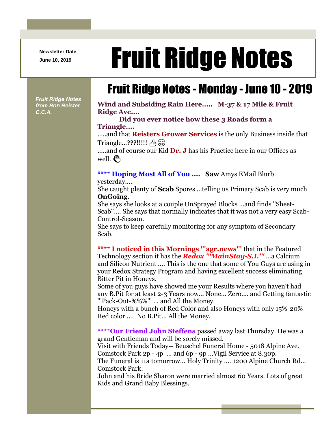**Newsletter Date**

## Newsletter Date **Fruit Ridge Notes**

## Fruit Ridge Notes - Monday - June 10 - 2019

*Fruit Ridge Notes from Ron Reister C.C.A.*

**Wind and Subsiding Rain Here..... M-37 & 17 Mile & Fruit Ridge Ave....** 

**Did you ever notice how these 3 Roads form a Triangle....**

.....and that **Reisters Grower Services** is the only Business inside that Triangle...???!!!!! 凸 (a)

.....and of course our Kid **Dr. J** has his Practice here in our Offices as well.  $\mathcal{E}^{\mathcal{S}}$ 

## **\*\*\*\* Hoping Most All of You .... Saw** Amys EMail Blurb

yesterday....

She caught plenty of **Scab** Spores ...telling us Primary Scab is very much **OnGoing**.

She says she looks at a couple UnSprayed Blocks ...and finds ''Sheet-Scab''.... She says that normally indicates that it was not a very easy Scab-Control-Season.

She says to keep carefully monitoring for any symptom of Secondary Scab.

**\*\*\*\* I noticed in this Mornings '''agr.news'''** that in the Featured Technology section it has the *Redox '''MainStay-S.I.'''* ...a Calcium and Silicon Nutrient .... This is the one that some of You Guys are using in your Redox Strategy Program and having excellent success eliminating Bitter Pit in Honeys.

Some of you guys have showed me your Results where you haven't had any B.Pit for at least 2-3 Years now... None... Zero.... and Getting fantastic '''Pack-Out-%%%''' ... and All the Money.

Honeys with a bunch of Red Color and also Honeys with only 15%-20% Red color .... No B.Pit... All the Money.

**\*\*\*\*Our Friend John Steffens** passed away last Thursday. He was a grand Gentleman and will be sorely missed.

Visit with Friends Today-- Beuschel Funeral Home - 5018 Alpine Ave. Comstock Park 2p - 4p ... and 6p - 9p ...Vigil Service at 8.30p.

The Funeral is 11a tomorrow... Holy Trinity .... 1200 Alpine Church Rd... Comstock Park.

John and his Bride Sharon were married almost 60 Years. Lots of great Kids and Grand Baby Blessings.